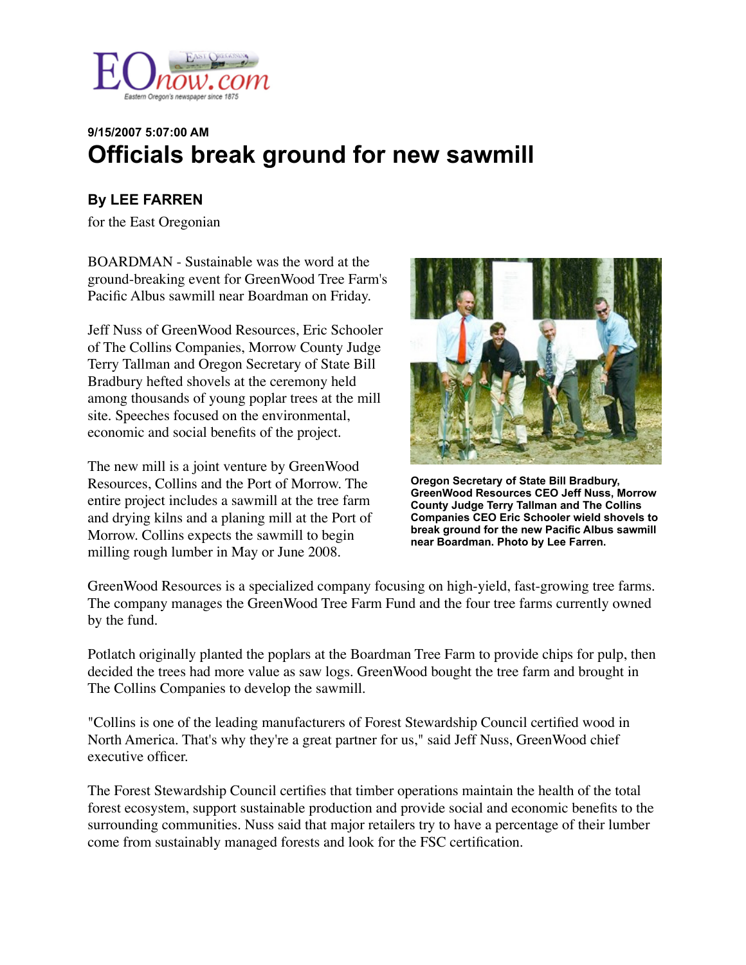

## **9/15/2007 5:07:00 AM Officials break ground for new sawmill**

## **By LEE FARREN**

for the East Oregonian

BOARDMAN - Sustainable was the word at the ground-breaking event for GreenWood Tree Farm's Pacific Albus sawmill near Boardman on Friday.

Jeff Nuss of GreenWood Resources, Eric Schooler of The Collins Companies, Morrow County Judge Terry Tallman and Oregon Secretary of State Bill Bradbury hefted shovels at the ceremony held among thousands of young poplar trees at the mill site. Speeches focused on the environmental, economic and social benefits of the project.

The new mill is a joint venture by GreenWood Resources, Collins and the Port of Morrow. The entire project includes a sawmill at the tree farm and drying kilns and a planing mill at the Port of Morrow. Collins expects the sawmill to begin milling rough lumber in May or June 2008.



**Oregon Secretary of State Bill Bradbury, GreenWood Resources CEO Jeff Nuss, Morrow County Judge Terry Tallman and The Collins Companies CEO Eric Schooler wield shovels to break ground for the new Pacific Albus sawmill near Boardman. Photo by Lee Farren.**

GreenWood Resources is a specialized company focusing on high-yield, fast-growing tree farms. The company manages the GreenWood Tree Farm Fund and the four tree farms currently owned by the fund.

Potlatch originally planted the poplars at the Boardman Tree Farm to provide chips for pulp, then decided the trees had more value as saw logs. GreenWood bought the tree farm and brought in The Collins Companies to develop the sawmill.

"Collins is one of the leading manufacturers of Forest Stewardship Council certified wood in North America. That's why they're a great partner for us," said Jeff Nuss, GreenWood chief executive officer.

The Forest Stewardship Council certifies that timber operations maintain the health of the total forest ecosystem, support sustainable production and provide social and economic benefits to the surrounding communities. Nuss said that major retailers try to have a percentage of their lumber come from sustainably managed forests and look for the FSC certification.